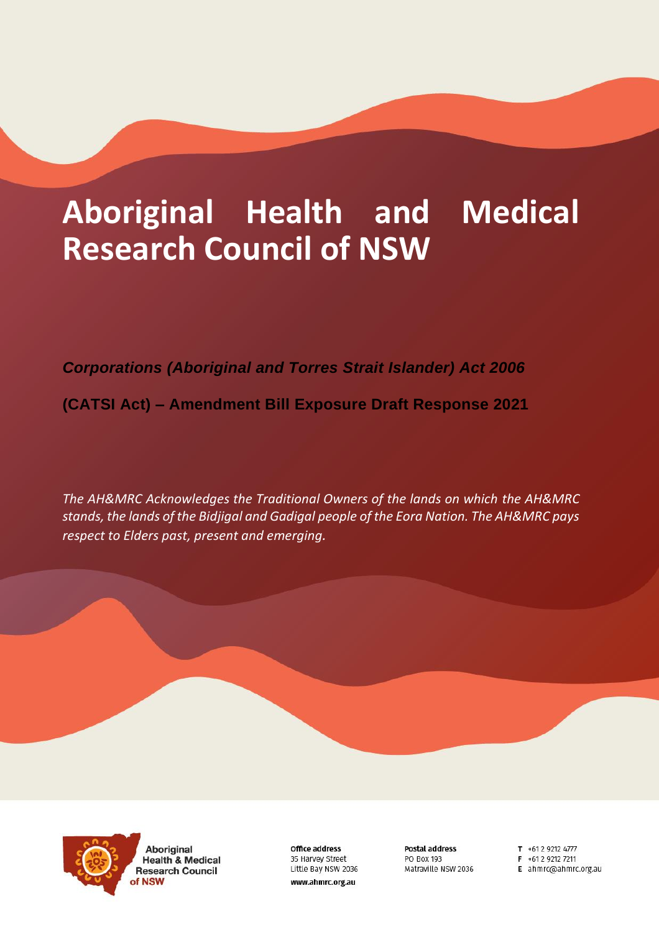# **Aboriginal Health and Medical Research Council of NSW**

*Corporations (Aboriginal and Torres Strait Islander) Act 2006*

**(CATSI Act) – Amendment Bill Exposure Draft Response 2021**

*The AH&MRC Acknowledges the Traditional Owners of the lands on which the AH&MRC stands, the lands of the Bidjigal and Gadigal people of the Eora Nation. The AH&MRC pays respect to Elders past, present and emerging.* 



**Aboriginal Health & Medical Research Council** 

**Office address** 35 Harvey Street Little Bay NSW 2036 www.ahmrc.org.au

Postal address **PO BOX 193** Matraville NSW 2036 T +61 2 9212 4777

- $F + 61292127211$
- E ahmrc@ahmrc.org.au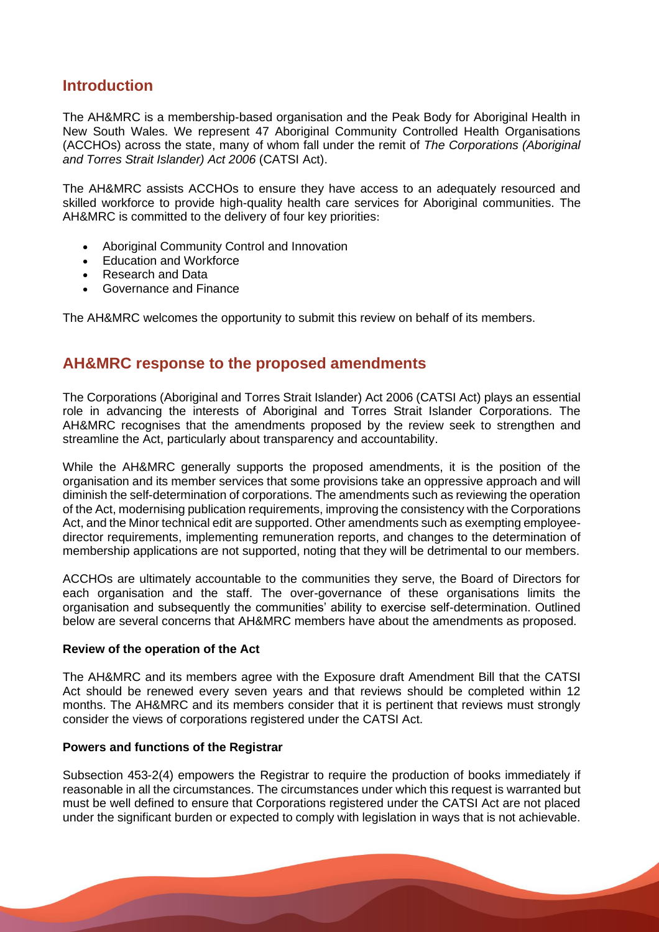## **Introduction**

The AH&MRC is a membership-based organisation and the Peak Body for Aboriginal Health in New South Wales. We represent 47 Aboriginal Community Controlled Health Organisations (ACCHOs) across the state, many of whom fall under the remit of *The Corporations (Aboriginal and Torres Strait Islander) Act 2006* (CATSI Act).

The AH&MRC assists ACCHOs to ensure they have access to an adequately resourced and skilled workforce to provide high-quality health care services for Aboriginal communities. The AH&MRC is committed to the delivery of four key priorities:

- Aboriginal Community Control and Innovation
- Education and Workforce
- Research and Data
- Governance and Finance

The AH&MRC welcomes the opportunity to submit this review on behalf of its members.

# **AH&MRC response to the proposed amendments**

The Corporations (Aboriginal and Torres Strait Islander) Act 2006 (CATSI Act) plays an essential role in advancing the interests of Aboriginal and Torres Strait Islander Corporations. The AH&MRC recognises that the amendments proposed by the review seek to strengthen and streamline the Act, particularly about transparency and accountability.

While the AH&MRC generally supports the proposed amendments, it is the position of the organisation and its member services that some provisions take an oppressive approach and will diminish the self-determination of corporations. The amendments such as reviewing the operation of the Act, modernising publication requirements, improving the consistency with the Corporations Act, and the Minor technical edit are supported. Other amendments such as exempting employeedirector requirements, implementing remuneration reports, and changes to the determination of membership applications are not supported, noting that they will be detrimental to our members.

ACCHOs are ultimately accountable to the communities they serve, the Board of Directors for each organisation and the staff. The over-governance of these organisations limits the organisation and subsequently the communities' ability to exercise self-determination. Outlined below are several concerns that AH&MRC members have about the amendments as proposed.

#### **Review of the operation of the Act**

The AH&MRC and its members agree with the Exposure draft Amendment Bill that the CATSI Act should be renewed every seven years and that reviews should be completed within 12 months. The AH&MRC and its members consider that it is pertinent that reviews must strongly consider the views of corporations registered under the CATSI Act.

#### **Powers and functions of the Registrar**

Subsection 453-2(4) empowers the Registrar to require the production of books immediately if reasonable in all the circumstances. The circumstances under which this request is warranted but must be well defined to ensure that Corporations registered under the CATSI Act are not placed under the significant burden or expected to comply with legislation in ways that is not achievable.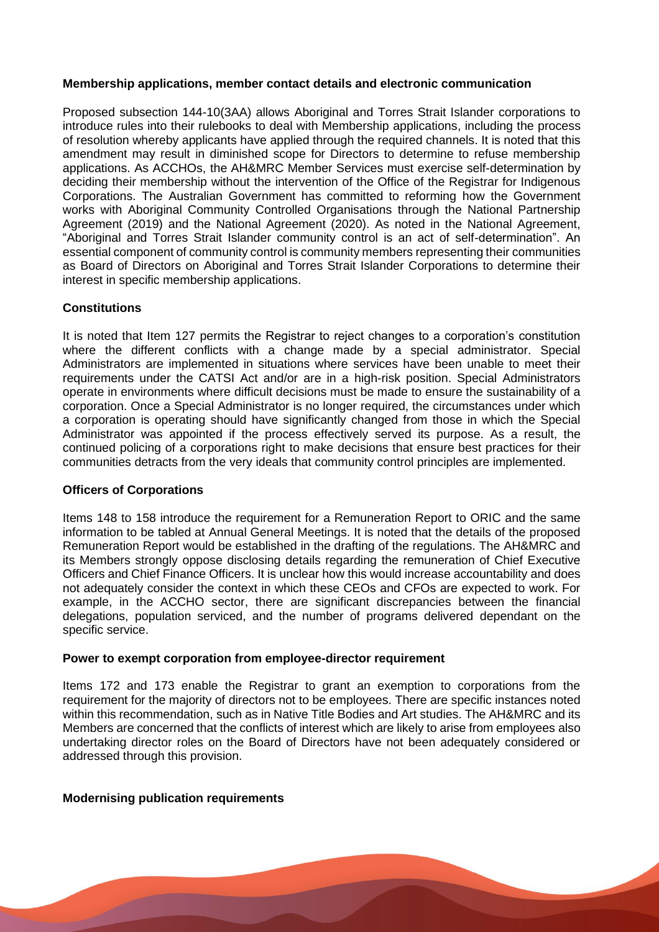#### **Membership applications, member contact details and electronic communication**

Proposed subsection 144-10(3AA) allows Aboriginal and Torres Strait Islander corporations to introduce rules into their rulebooks to deal with Membership applications, including the process of resolution whereby applicants have applied through the required channels. It is noted that this amendment may result in diminished scope for Directors to determine to refuse membership applications. As ACCHOs, the AH&MRC Member Services must exercise self-determination by deciding their membership without the intervention of the Office of the Registrar for Indigenous Corporations. The Australian Government has committed to reforming how the Government works with Aboriginal Community Controlled Organisations through the National Partnership Agreement (2019) and the National Agreement (2020). As noted in the National Agreement, "Aboriginal and Torres Strait Islander community control is an act of self-determination". An essential component of community control is community members representing their communities as Board of Directors on Aboriginal and Torres Strait Islander Corporations to determine their interest in specific membership applications.

#### **Constitutions**

It is noted that Item 127 permits the Registrar to reject changes to a corporation's constitution where the different conflicts with a change made by a special administrator. Special Administrators are implemented in situations where services have been unable to meet their requirements under the CATSI Act and/or are in a high-risk position. Special Administrators operate in environments where difficult decisions must be made to ensure the sustainability of a corporation. Once a Special Administrator is no longer required, the circumstances under which a corporation is operating should have significantly changed from those in which the Special Administrator was appointed if the process effectively served its purpose. As a result, the continued policing of a corporations right to make decisions that ensure best practices for their communities detracts from the very ideals that community control principles are implemented.

#### **Officers of Corporations**

Items 148 to 158 introduce the requirement for a Remuneration Report to ORIC and the same information to be tabled at Annual General Meetings. It is noted that the details of the proposed Remuneration Report would be established in the drafting of the regulations. The AH&MRC and its Members strongly oppose disclosing details regarding the remuneration of Chief Executive Officers and Chief Finance Officers. It is unclear how this would increase accountability and does not adequately consider the context in which these CEOs and CFOs are expected to work. For example, in the ACCHO sector, there are significant discrepancies between the financial delegations, population serviced, and the number of programs delivered dependant on the specific service.

#### **Power to exempt corporation from employee-director requirement**

Items 172 and 173 enable the Registrar to grant an exemption to corporations from the requirement for the majority of directors not to be employees. There are specific instances noted within this recommendation, such as in Native Title Bodies and Art studies. The AH&MRC and its Members are concerned that the conflicts of interest which are likely to arise from employees also undertaking director roles on the Board of Directors have not been adequately considered or addressed through this provision.

#### **Modernising publication requirements**